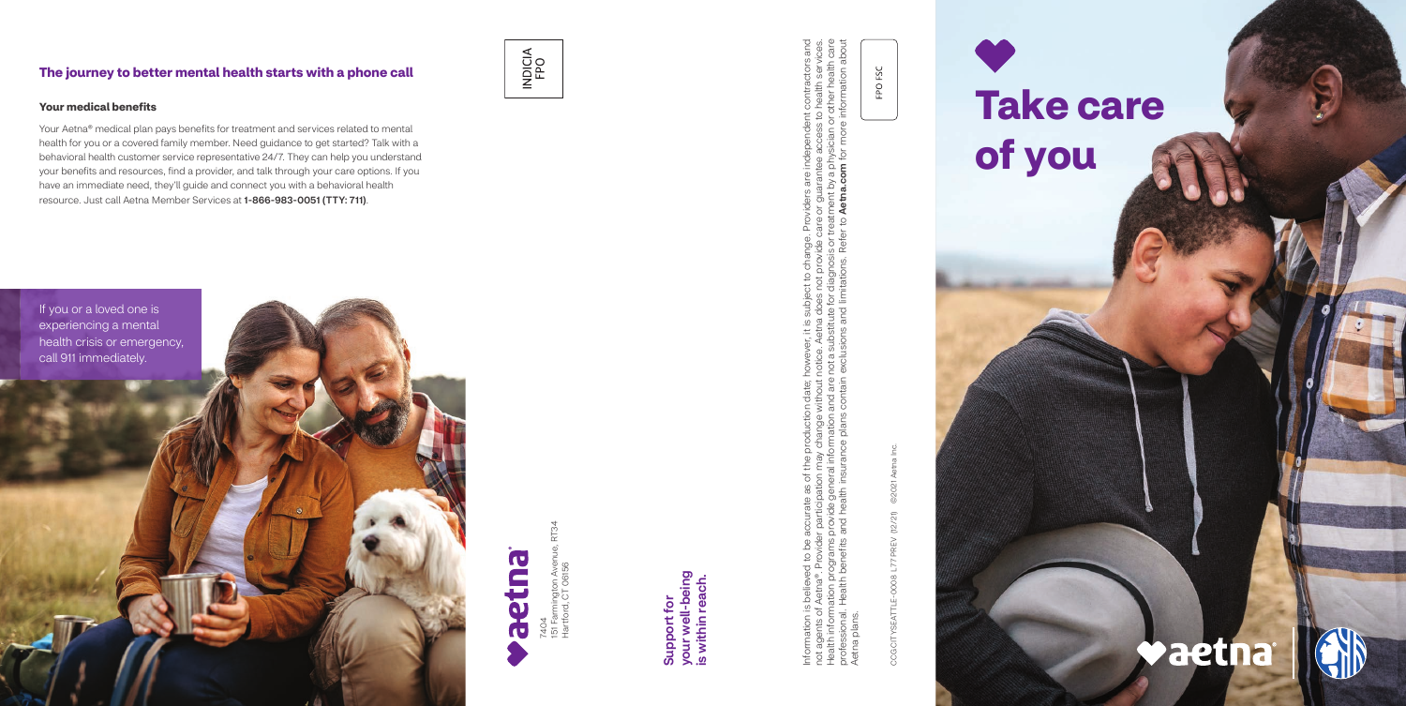7404<br>151 Farmington Aven<br>Hartford, CT 06156 151 Farmington Avenue, RT34 Hartford, CT 06156

Information is believed to be accurate as of the production date; however, it is subject to change. Providers are independent contractors and not agents of Aetna®. Provider participation may change without notice. Aetna does not provide care or guarantee access to health services. Health information programs provide general information and are not a substitute for diagnosis or treatment by a physician or other health care professional. Health benefits and health insurance plans contain exclusions and limitations. Refer to Aetna.com for more information about ge. Providers are independent contractors and<br>te care or guarantee access to health services.<br>or treatment by a physician or other health care<br>efer to **Aetna.com** for more information about Joject to change. Provi<br>loes not provide care o<br>a for diagnosis or treatm<br>1 limitations. Refer to **A** ever, it is subj<br>be. Aetna doe<br>a substitute fc<br>lusions and li late; howev<br>hout notice<br>d are not a :<br>ntain exclu Information is believed to be accurate as of the production date<br>not agents of Aetna®. Provider participation may change withou<br>Health information programs provide general information and ar<br>professional. Health benefits a Aetna plans. plans Aetna

your well-being<br>is within reach. your well-being is within reach. Support for Support for

CCG CITYSEATTLE-0008 L77 PREV (12/21) ©2021 Aetna Inc. ©2021 CCG CITYSEATTLE-0008 L77 PREV (12/21)

FPO FSC

#### **The journey to better mental health starts with a phone call**

# INDICIA<br>FPO





#### **Your medical benefits**

Your Aetna® medical plan pays benefits for treatment and services related to mental health for you or a covered family member. Need guidance to get started? Talk with a behavioral health customer service representative 24/7. They can help you understand your benefits and resources, find a provider, and talk through your care options. If you have an immediate need, they'll guide and connect you with a behavioral health resource. Just call Aetna Member Services at 1-866-983-0051 (TTY: 711).

## **Take care of you**

### **Vaetna**